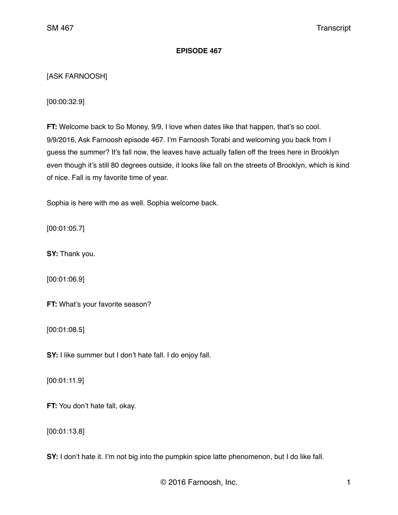# **EPISODE 467**

# [ASK FARNOOSH]

[00:00:32.9]

**FT:** Welcome back to So Money, 9/9, I love when dates like that happen, that's so cool. 9/9/2016, Ask Farnoosh episode 467. I'm Farnoosh Torabi and welcoming you back from I guess the summer? It's fall now, the leaves have actually fallen off the trees here in Brooklyn even though it's still 80 degrees outside, it looks like fall on the streets of Brooklyn, which is kind of nice. Fall is my favorite time of year.

Sophia is here with me as well. Sophia welcome back.

[00:01:05.7]

**SY:** Thank you.

[00:01:06.9]

**FT:** What's your favorite season?

[00:01:08.5]

**SY:** I like summer but I don't hate fall. I do enjoy fall.

[00:01:11.9]

**FT:** You don't hate fall, okay.

[00:01:13.8]

**SY:** I don't hate it. I'm not big into the pumpkin spice latte phenomenon, but I do like fall.

© 2016 Farnoosh, Inc. 1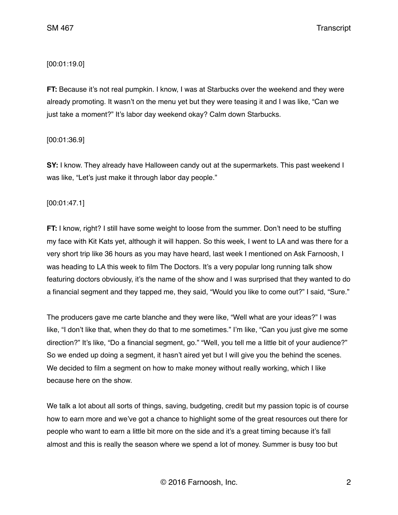# [00:01:19.0]

**FT:** Because it's not real pumpkin. I know, I was at Starbucks over the weekend and they were already promoting. It wasn't on the menu yet but they were teasing it and I was like, "Can we just take a moment?" It's labor day weekend okay? Calm down Starbucks.

# [00:01:36.9]

**SY:** I know. They already have Halloween candy out at the supermarkets. This past weekend I was like, "Let's just make it through labor day people."

# [00:01:47.1]

**FT:** I know, right? I still have some weight to loose from the summer. Don't need to be stuffing my face with Kit Kats yet, although it will happen. So this week, I went to LA and was there for a very short trip like 36 hours as you may have heard, last week I mentioned on Ask Farnoosh, I was heading to LA this week to film The Doctors. It's a very popular long running talk show featuring doctors obviously, it's the name of the show and I was surprised that they wanted to do a financial segment and they tapped me, they said, "Would you like to come out?" I said, "Sure."

The producers gave me carte blanche and they were like, "Well what are your ideas?" I was like, "I don't like that, when they do that to me sometimes." I'm like, "Can you just give me some direction?" It's like, "Do a financial segment, go." "Well, you tell me a little bit of your audience?" So we ended up doing a segment, it hasn't aired yet but I will give you the behind the scenes. We decided to film a segment on how to make money without really working, which I like because here on the show.

We talk a lot about all sorts of things, saving, budgeting, credit but my passion topic is of course how to earn more and we've got a chance to highlight some of the great resources out there for people who want to earn a little bit more on the side and it's a great timing because it's fall almost and this is really the season where we spend a lot of money. Summer is busy too but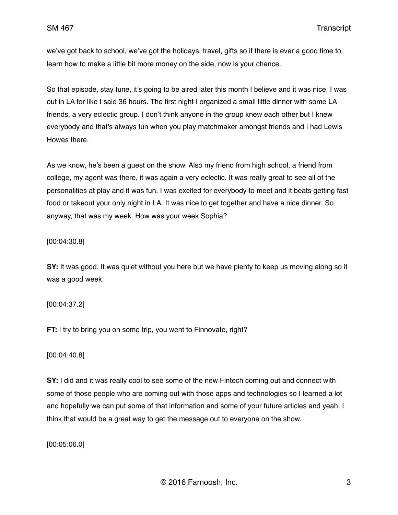we've got back to school, we've got the holidays, travel, gifts so if there is ever a good time to learn how to make a little bit more money on the side, now is your chance.

So that episode, stay tune, it's going to be aired later this month I believe and it was nice. I was out in LA for like I said 36 hours. The first night I organized a small little dinner with some LA friends, a very eclectic group. I don't think anyone in the group knew each other but I knew everybody and that's always fun when you play matchmaker amongst friends and I had Lewis Howes there.

As we know, he's been a guest on the show. Also my friend from high school, a friend from college, my agent was there, it was again a very eclectic. It was really great to see all of the personalities at play and it was fun. I was excited for everybody to meet and it beats getting fast food or takeout your only night in LA. It was nice to get together and have a nice dinner. So anyway, that was my week. How was your week Sophia?

[00:04:30.8]

**SY:** It was good. It was quiet without you here but we have plenty to keep us moving along so it was a good week.

[00:04:37.2]

**FT:** I try to bring you on some trip, you went to Finnovate, right?

[00:04:40.8]

**SY:** I did and it was really cool to see some of the new Fintech coming out and connect with some of those people who are coming out with those apps and technologies so I learned a lot and hopefully we can put some of that information and some of your future articles and yeah, I think that would be a great way to get the message out to everyone on the show.

[00:05:06.0]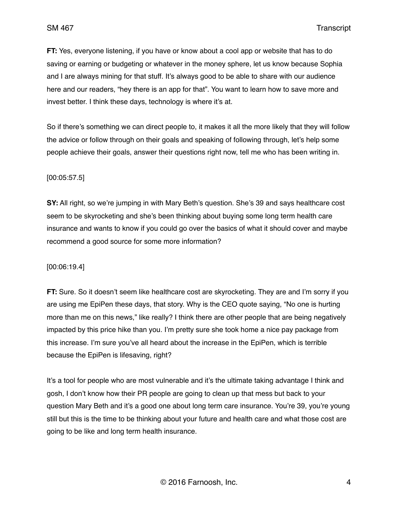**FT:** Yes, everyone listening, if you have or know about a cool app or website that has to do saving or earning or budgeting or whatever in the money sphere, let us know because Sophia and I are always mining for that stuff. It's always good to be able to share with our audience here and our readers, "hey there is an app for that". You want to learn how to save more and invest better. I think these days, technology is where it's at.

So if there's something we can direct people to, it makes it all the more likely that they will follow the advice or follow through on their goals and speaking of following through, let's help some people achieve their goals, answer their questions right now, tell me who has been writing in.

### [00:05:57.5]

**SY:** All right, so we're jumping in with Mary Beth's question. She's 39 and says healthcare cost seem to be skyrocketing and she's been thinking about buying some long term health care insurance and wants to know if you could go over the basics of what it should cover and maybe recommend a good source for some more information?

#### [00:06:19.4]

**FT:** Sure. So it doesn't seem like healthcare cost are skyrocketing. They are and I'm sorry if you are using me EpiPen these days, that story. Why is the CEO quote saying, "No one is hurting more than me on this news," like really? I think there are other people that are being negatively impacted by this price hike than you. I'm pretty sure she took home a nice pay package from this increase. I'm sure you've all heard about the increase in the EpiPen, which is terrible because the EpiPen is lifesaving, right?

It's a tool for people who are most vulnerable and it's the ultimate taking advantage I think and gosh, I don't know how their PR people are going to clean up that mess but back to your question Mary Beth and it's a good one about long term care insurance. You're 39, you're young still but this is the time to be thinking about your future and health care and what those cost are going to be like and long term health insurance.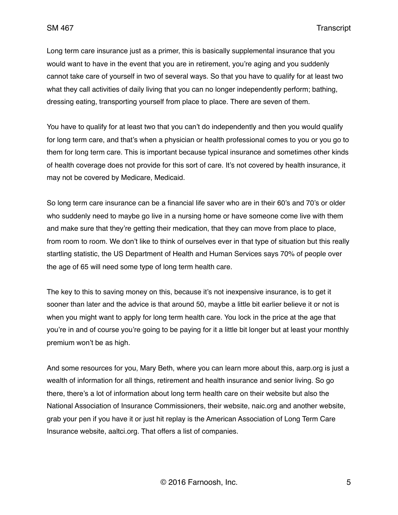Long term care insurance just as a primer, this is basically supplemental insurance that you would want to have in the event that you are in retirement, you're aging and you suddenly cannot take care of yourself in two of several ways. So that you have to qualify for at least two what they call activities of daily living that you can no longer independently perform; bathing, dressing eating, transporting yourself from place to place. There are seven of them.

You have to qualify for at least two that you can't do independently and then you would qualify for long term care, and that's when a physician or health professional comes to you or you go to them for long term care. This is important because typical insurance and sometimes other kinds of health coverage does not provide for this sort of care. It's not covered by health insurance, it may not be covered by Medicare, Medicaid.

So long term care insurance can be a financial life saver who are in their 60's and 70's or older who suddenly need to maybe go live in a nursing home or have someone come live with them and make sure that they're getting their medication, that they can move from place to place, from room to room. We don't like to think of ourselves ever in that type of situation but this really startling statistic, the US Department of Health and Human Services says 70% of people over the age of 65 will need some type of long term health care.

The key to this to saving money on this, because it's not inexpensive insurance, is to get it sooner than later and the advice is that around 50, maybe a little bit earlier believe it or not is when you might want to apply for long term health care. You lock in the price at the age that you're in and of course you're going to be paying for it a little bit longer but at least your monthly premium won't be as high.

And some resources for you, Mary Beth, where you can learn more about this, aarp.org is just a wealth of information for all things, retirement and health insurance and senior living. So go there, there's a lot of information about long term health care on their website but also the National Association of Insurance Commissioners, their website, naic.org and another website, grab your pen if you have it or just hit replay is the American Association of Long Term Care Insurance website, aaltci.org. That offers a list of companies.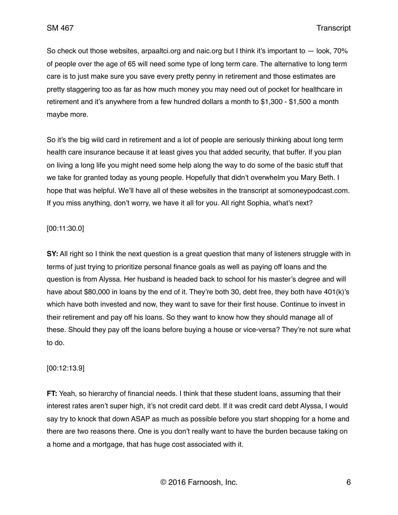So check out those websites, arpaaltci.org and naic.org but I think it's important to — look, 70% of people over the age of 65 will need some type of long term care. The alternative to long term care is to just make sure you save every pretty penny in retirement and those estimates are pretty staggering too as far as how much money you may need out of pocket for healthcare in retirement and it's anywhere from a few hundred dollars a month to \$1,300 - \$1,500 a month maybe more.

So it's the big wild card in retirement and a lot of people are seriously thinking about long term health care insurance because it at least gives you that added security, that buffer. If you plan on living a long life you might need some help along the way to do some of the basic stuff that we take for granted today as young people. Hopefully that didn't overwhelm you Mary Beth. I hope that was helpful. We'll have all of these websites in the transcript at somoneypodcast.com. If you miss anything, don't worry, we have it all for you. All right Sophia, what's next?

### [00:11:30.0]

**SY:** All right so I think the next question is a great question that many of listeners struggle with in terms of just trying to prioritize personal finance goals as well as paying off loans and the question is from Alyssa. Her husband is headed back to school for his master's degree and will have about \$80,000 in loans by the end of it. They're both 30, debt free, they both have 401(k)'s which have both invested and now, they want to save for their first house. Continue to invest in their retirement and pay off his loans. So they want to know how they should manage all of these. Should they pay off the loans before buying a house or vice-versa? They're not sure what to do.

### [00:12:13.9]

**FT:** Yeah, so hierarchy of financial needs. I think that these student loans, assuming that their interest rates aren't super high, it's not credit card debt. If it was credit card debt Alyssa, I would say try to knock that down ASAP as much as possible before you start shopping for a home and there are two reasons there. One is you don't really want to have the burden because taking on a home and a mortgage, that has huge cost associated with it.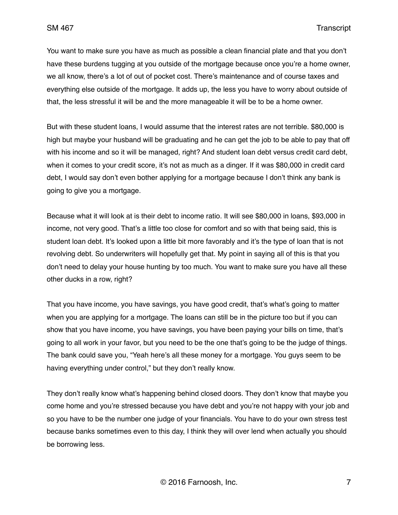You want to make sure you have as much as possible a clean financial plate and that you don't have these burdens tugging at you outside of the mortgage because once you're a home owner, we all know, there's a lot of out of pocket cost. There's maintenance and of course taxes and everything else outside of the mortgage. It adds up, the less you have to worry about outside of that, the less stressful it will be and the more manageable it will be to be a home owner.

But with these student loans, I would assume that the interest rates are not terrible. \$80,000 is high but maybe your husband will be graduating and he can get the job to be able to pay that off with his income and so it will be managed, right? And student loan debt versus credit card debt, when it comes to your credit score, it's not as much as a dinger. If it was \$80,000 in credit card debt, I would say don't even bother applying for a mortgage because I don't think any bank is going to give you a mortgage.

Because what it will look at is their debt to income ratio. It will see \$80,000 in loans, \$93,000 in income, not very good. That's a little too close for comfort and so with that being said, this is student loan debt. It's looked upon a little bit more favorably and it's the type of loan that is not revolving debt. So underwriters will hopefully get that. My point in saying all of this is that you don't need to delay your house hunting by too much. You want to make sure you have all these other ducks in a row, right?

That you have income, you have savings, you have good credit, that's what's going to matter when you are applying for a mortgage. The loans can still be in the picture too but if you can show that you have income, you have savings, you have been paying your bills on time, that's going to all work in your favor, but you need to be the one that's going to be the judge of things. The bank could save you, "Yeah here's all these money for a mortgage. You guys seem to be having everything under control," but they don't really know.

They don't really know what's happening behind closed doors. They don't know that maybe you come home and you're stressed because you have debt and you're not happy with your job and so you have to be the number one judge of your financials. You have to do your own stress test because banks sometimes even to this day, I think they will over lend when actually you should be borrowing less.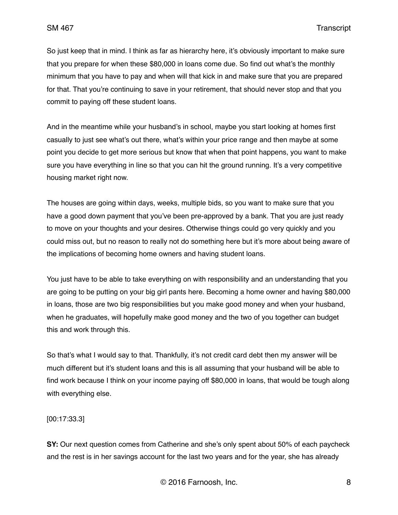So just keep that in mind. I think as far as hierarchy here, it's obviously important to make sure that you prepare for when these \$80,000 in loans come due. So find out what's the monthly minimum that you have to pay and when will that kick in and make sure that you are prepared for that. That you're continuing to save in your retirement, that should never stop and that you commit to paying off these student loans.

And in the meantime while your husband's in school, maybe you start looking at homes first casually to just see what's out there, what's within your price range and then maybe at some point you decide to get more serious but know that when that point happens, you want to make sure you have everything in line so that you can hit the ground running. It's a very competitive housing market right now.

The houses are going within days, weeks, multiple bids, so you want to make sure that you have a good down payment that you've been pre-approved by a bank. That you are just ready to move on your thoughts and your desires. Otherwise things could go very quickly and you could miss out, but no reason to really not do something here but it's more about being aware of the implications of becoming home owners and having student loans.

You just have to be able to take everything on with responsibility and an understanding that you are going to be putting on your big girl pants here. Becoming a home owner and having \$80,000 in loans, those are two big responsibilities but you make good money and when your husband, when he graduates, will hopefully make good money and the two of you together can budget this and work through this.

So that's what I would say to that. Thankfully, it's not credit card debt then my answer will be much different but it's student loans and this is all assuming that your husband will be able to find work because I think on your income paying off \$80,000 in loans, that would be tough along with everything else.

[00:17:33.3]

**SY:** Our next question comes from Catherine and she's only spent about 50% of each paycheck and the rest is in her savings account for the last two years and for the year, she has already

© 2016 Farnoosh, Inc. 8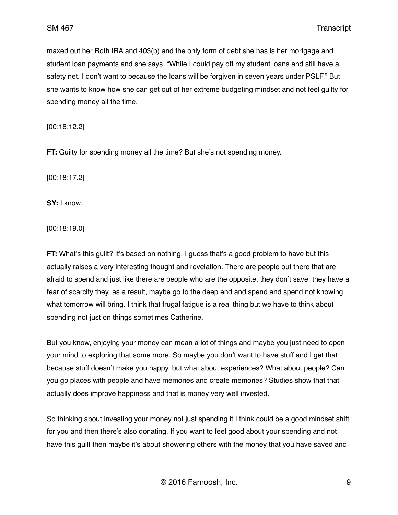maxed out her Roth IRA and 403(b) and the only form of debt she has is her mortgage and student loan payments and she says, "While I could pay off my student loans and still have a safety net. I don't want to because the loans will be forgiven in seven years under PSLF." But she wants to know how she can get out of her extreme budgeting mindset and not feel guilty for spending money all the time.

[00:18:12.2]

**FT:** Guilty for spending money all the time? But she's not spending money.

[00:18:17.2]

**SY:** I know.

[00:18:19.0]

**FT:** What's this guilt? It's based on nothing. I guess that's a good problem to have but this actually raises a very interesting thought and revelation. There are people out there that are afraid to spend and just like there are people who are the opposite, they don't save, they have a fear of scarcity they, as a result, maybe go to the deep end and spend and spend not knowing what tomorrow will bring. I think that frugal fatigue is a real thing but we have to think about spending not just on things sometimes Catherine.

But you know, enjoying your money can mean a lot of things and maybe you just need to open your mind to exploring that some more. So maybe you don't want to have stuff and I get that because stuff doesn't make you happy, but what about experiences? What about people? Can you go places with people and have memories and create memories? Studies show that that actually does improve happiness and that is money very well invested.

So thinking about investing your money not just spending it I think could be a good mindset shift for you and then there's also donating. If you want to feel good about your spending and not have this quilt then maybe it's about showering others with the money that you have saved and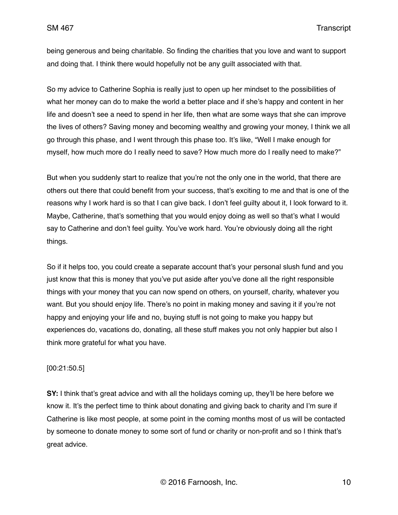being generous and being charitable. So finding the charities that you love and want to support and doing that. I think there would hopefully not be any guilt associated with that.

So my advice to Catherine Sophia is really just to open up her mindset to the possibilities of what her money can do to make the world a better place and if she's happy and content in her life and doesn't see a need to spend in her life, then what are some ways that she can improve the lives of others? Saving money and becoming wealthy and growing your money, I think we all go through this phase, and I went through this phase too. It's like, "Well I make enough for myself, how much more do I really need to save? How much more do I really need to make?"

But when you suddenly start to realize that you're not the only one in the world, that there are others out there that could benefit from your success, that's exciting to me and that is one of the reasons why I work hard is so that I can give back. I don't feel guilty about it, I look forward to it. Maybe, Catherine, that's something that you would enjoy doing as well so that's what I would say to Catherine and don't feel guilty. You've work hard. You're obviously doing all the right things.

So if it helps too, you could create a separate account that's your personal slush fund and you just know that this is money that you've put aside after you've done all the right responsible things with your money that you can now spend on others, on yourself, charity, whatever you want. But you should enjoy life. There's no point in making money and saving it if you're not happy and enjoying your life and no, buying stuff is not going to make you happy but experiences do, vacations do, donating, all these stuff makes you not only happier but also I think more grateful for what you have.

### [00:21:50.5]

**SY:** I think that's great advice and with all the holidays coming up, they'll be here before we know it. It's the perfect time to think about donating and giving back to charity and I'm sure if Catherine is like most people, at some point in the coming months most of us will be contacted by someone to donate money to some sort of fund or charity or non-profit and so I think that's great advice.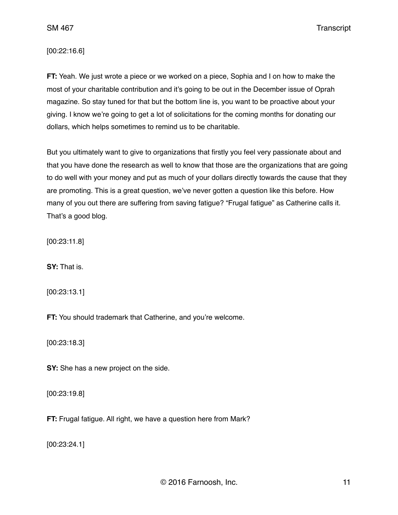[00:22:16.6]

**FT:** Yeah. We just wrote a piece or we worked on a piece, Sophia and I on how to make the most of your charitable contribution and it's going to be out in the December issue of Oprah magazine. So stay tuned for that but the bottom line is, you want to be proactive about your giving. I know we're going to get a lot of solicitations for the coming months for donating our dollars, which helps sometimes to remind us to be charitable.

But you ultimately want to give to organizations that firstly you feel very passionate about and that you have done the research as well to know that those are the organizations that are going to do well with your money and put as much of your dollars directly towards the cause that they are promoting. This is a great question, we've never gotten a question like this before. How many of you out there are suffering from saving fatigue? "Frugal fatigue" as Catherine calls it. That's a good blog.

[00:23:11.8]

**SY:** That is.

[00:23:13.1]

**FT:** You should trademark that Catherine, and you're welcome.

[00:23:18.3]

**SY:** She has a new project on the side.

[00:23:19.8]

**FT:** Frugal fatigue. All right, we have a question here from Mark?

[00:23:24.1]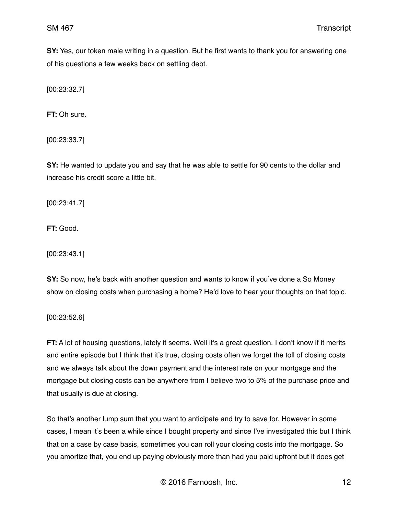**SY:** Yes, our token male writing in a question. But he first wants to thank you for answering one of his questions a few weeks back on settling debt.

[00:23:32.7]

**FT:** Oh sure.

[00:23:33.7]

**SY:** He wanted to update you and say that he was able to settle for 90 cents to the dollar and increase his credit score a little bit.

[00:23:41.7]

**FT:** Good.

[00:23:43.1]

**SY:** So now, he's back with another question and wants to know if you've done a So Money show on closing costs when purchasing a home? He'd love to hear your thoughts on that topic.

[00:23:52.6]

**FT:** A lot of housing questions, lately it seems. Well it's a great question. I don't know if it merits and entire episode but I think that it's true, closing costs often we forget the toll of closing costs and we always talk about the down payment and the interest rate on your mortgage and the mortgage but closing costs can be anywhere from I believe two to 5% of the purchase price and that usually is due at closing.

So that's another lump sum that you want to anticipate and try to save for. However in some cases, I mean it's been a while since I bought property and since I've investigated this but I think that on a case by case basis, sometimes you can roll your closing costs into the mortgage. So you amortize that, you end up paying obviously more than had you paid upfront but it does get

© 2016 Farnoosh, Inc. 12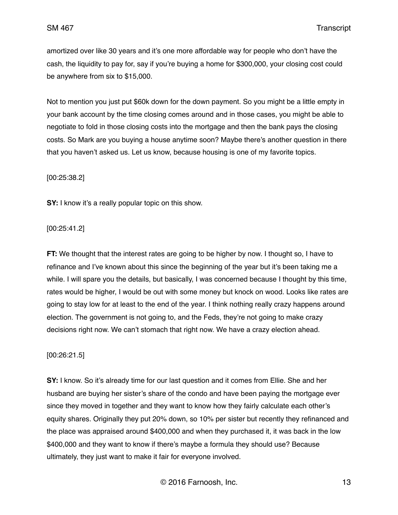amortized over like 30 years and it's one more affordable way for people who don't have the cash, the liquidity to pay for, say if you're buying a home for \$300,000, your closing cost could be anywhere from six to \$15,000.

Not to mention you just put \$60k down for the down payment. So you might be a little empty in your bank account by the time closing comes around and in those cases, you might be able to negotiate to fold in those closing costs into the mortgage and then the bank pays the closing costs. So Mark are you buying a house anytime soon? Maybe there's another question in there that you haven't asked us. Let us know, because housing is one of my favorite topics.

[00:25:38.2]

**SY:** I know it's a really popular topic on this show.

[00:25:41.2]

**FT:** We thought that the interest rates are going to be higher by now. I thought so, I have to refinance and I've known about this since the beginning of the year but it's been taking me a while. I will spare you the details, but basically, I was concerned because I thought by this time, rates would be higher, I would be out with some money but knock on wood. Looks like rates are going to stay low for at least to the end of the year. I think nothing really crazy happens around election. The government is not going to, and the Feds, they're not going to make crazy decisions right now. We can't stomach that right now. We have a crazy election ahead.

[00:26:21.5]

**SY:** I know. So it's already time for our last question and it comes from Ellie. She and her husband are buying her sister's share of the condo and have been paying the mortgage ever since they moved in together and they want to know how they fairly calculate each other's equity shares. Originally they put 20% down, so 10% per sister but recently they refinanced and the place was appraised around \$400,000 and when they purchased it, it was back in the low \$400,000 and they want to know if there's maybe a formula they should use? Because ultimately, they just want to make it fair for everyone involved.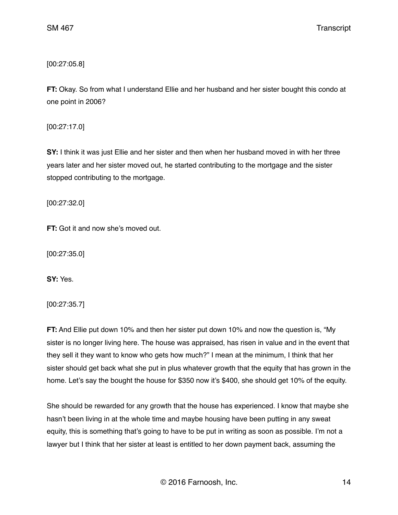[00:27:05.8]

**FT:** Okay. So from what I understand Ellie and her husband and her sister bought this condo at one point in 2006?

[00:27:17.0]

**SY:** I think it was just Ellie and her sister and then when her husband moved in with her three years later and her sister moved out, he started contributing to the mortgage and the sister stopped contributing to the mortgage.

[00:27:32.0]

**FT:** Got it and now she's moved out.

[00:27:35.0]

**SY:** Yes.

[00:27:35.7]

**FT:** And Ellie put down 10% and then her sister put down 10% and now the question is, "My sister is no longer living here. The house was appraised, has risen in value and in the event that they sell it they want to know who gets how much?" I mean at the minimum, I think that her sister should get back what she put in plus whatever growth that the equity that has grown in the home. Let's say the bought the house for \$350 now it's \$400, she should get 10% of the equity.

She should be rewarded for any growth that the house has experienced. I know that maybe she hasn't been living in at the whole time and maybe housing have been putting in any sweat equity, this is something that's going to have to be put in writing as soon as possible. I'm not a lawyer but I think that her sister at least is entitled to her down payment back, assuming the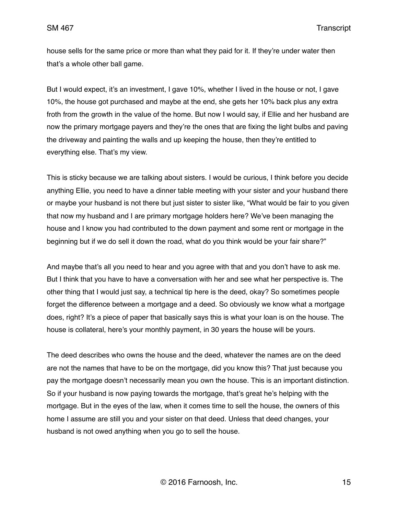house sells for the same price or more than what they paid for it. If they're under water then that's a whole other ball game.

But I would expect, it's an investment, I gave 10%, whether I lived in the house or not, I gave 10%, the house got purchased and maybe at the end, she gets her 10% back plus any extra froth from the growth in the value of the home. But now I would say, if Ellie and her husband are now the primary mortgage payers and they're the ones that are fixing the light bulbs and paving the driveway and painting the walls and up keeping the house, then they're entitled to everything else. That's my view.

This is sticky because we are talking about sisters. I would be curious, I think before you decide anything Ellie, you need to have a dinner table meeting with your sister and your husband there or maybe your husband is not there but just sister to sister like, "What would be fair to you given that now my husband and I are primary mortgage holders here? We've been managing the house and I know you had contributed to the down payment and some rent or mortgage in the beginning but if we do sell it down the road, what do you think would be your fair share?"

And maybe that's all you need to hear and you agree with that and you don't have to ask me. But I think that you have to have a conversation with her and see what her perspective is. The other thing that I would just say, a technical tip here is the deed, okay? So sometimes people forget the difference between a mortgage and a deed. So obviously we know what a mortgage does, right? It's a piece of paper that basically says this is what your loan is on the house. The house is collateral, here's your monthly payment, in 30 years the house will be yours.

The deed describes who owns the house and the deed, whatever the names are on the deed are not the names that have to be on the mortgage, did you know this? That just because you pay the mortgage doesn't necessarily mean you own the house. This is an important distinction. So if your husband is now paying towards the mortgage, that's great he's helping with the mortgage. But in the eyes of the law, when it comes time to sell the house, the owners of this home I assume are still you and your sister on that deed. Unless that deed changes, your husband is not owed anything when you go to sell the house.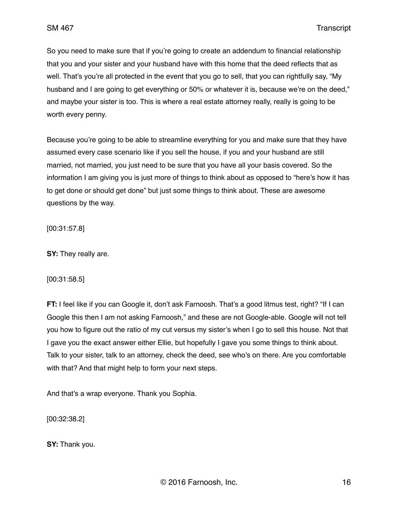So you need to make sure that if you're going to create an addendum to financial relationship that you and your sister and your husband have with this home that the deed reflects that as well. That's you're all protected in the event that you go to sell, that you can rightfully say, "My husband and I are going to get everything or 50% or whatever it is, because we're on the deed," and maybe your sister is too. This is where a real estate attorney really, really is going to be worth every penny.

Because you're going to be able to streamline everything for you and make sure that they have assumed every case scenario like if you sell the house, if you and your husband are still married, not married, you just need to be sure that you have all your basis covered. So the information I am giving you is just more of things to think about as opposed to "here's how it has to get done or should get done" but just some things to think about. These are awesome questions by the way.

[00:31:57.8]

**SY:** They really are.

[00:31:58.5]

**FT:** I feel like if you can Google it, don't ask Farnoosh. That's a good litmus test, right? "If I can Google this then I am not asking Farnoosh," and these are not Google-able. Google will not tell you how to figure out the ratio of my cut versus my sister's when I go to sell this house. Not that I gave you the exact answer either Ellie, but hopefully I gave you some things to think about. Talk to your sister, talk to an attorney, check the deed, see who's on there. Are you comfortable with that? And that might help to form your next steps.

And that's a wrap everyone. Thank you Sophia.

[00:32:38.2]

**SY:** Thank you.